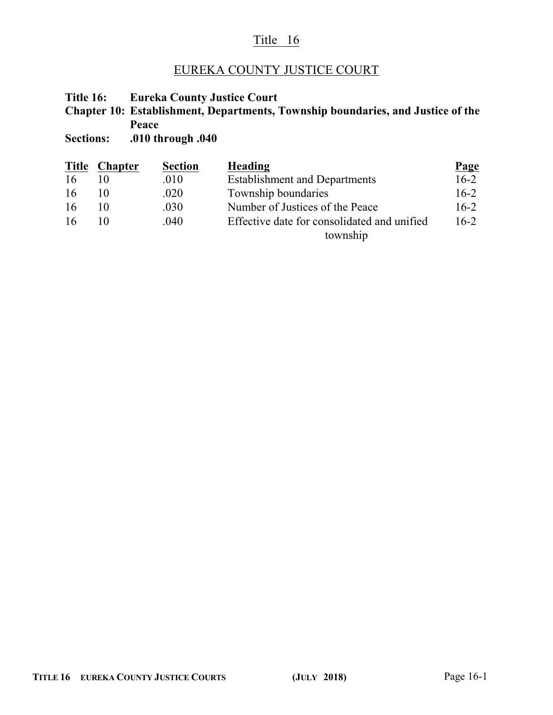# Title 16

# EUREKA COUNTY JUSTICE COURT

**Title 16: Eureka County Justice Court**

**Chapter 10: Establishment, Departments, Township boundaries, and Justice of the Peace**

**Sections: .010 through .040**

| <b>Title</b> | <b>Chapter</b> | <b>Section</b> | Heading                                     | <b>Page</b> |
|--------------|----------------|----------------|---------------------------------------------|-------------|
| 16           |                | .010           | <b>Establishment and Departments</b>        | $16 - 2$    |
| -16          |                | .020           | Township boundaries                         | $16-2$      |
| -16          | 10             | .030           | Number of Justices of the Peace             | $16-2$      |
| -16          | 10             | .040           | Effective date for consolidated and unified | $16-2$      |
|              |                |                | township                                    |             |